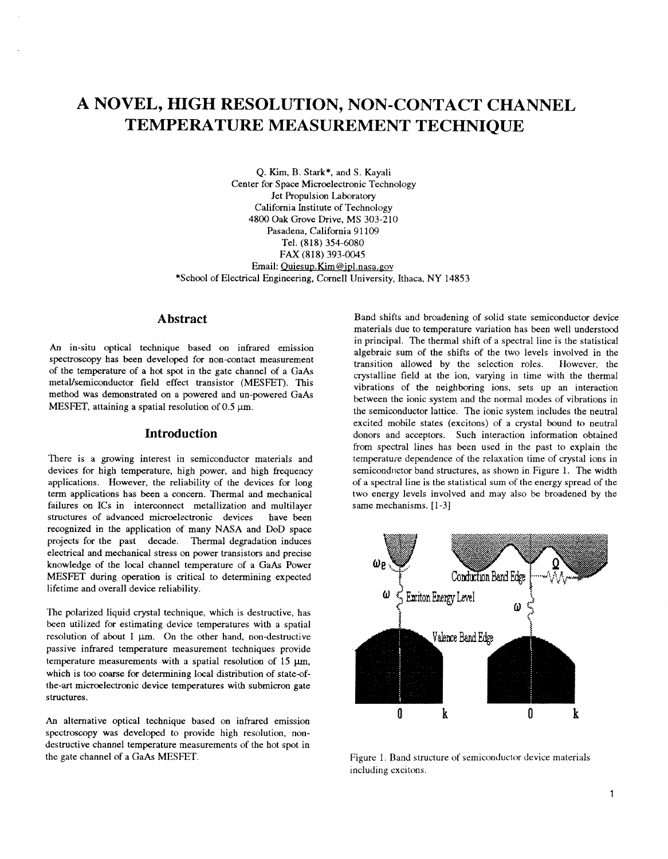# **A NOVEL, HIGH RESOLUTION, NON-CONTACT CHANNEL TEMPERATURE MEASUREMENT TECHNIQUE**

Q. Kim, **B.** Stark\*, and S. Kayali Center for Space Microelectronic Technology Jet Propulsion Laboratory California Institute of Technology 4800 *Oak* Grove Drive, MS 303-210 Pasadena, California 91 109 Tel. (818) 354-6080 FAX (818) 393-0045 Email: Quiesup.Kim@jpl.nasa.gov \*School of Electrical Engineering, Cornell University, Ithaca, **NY** 14853

# **Abstract**

**An** in-situ optical technique based on infrared emission spectroscopy has been developed for non-contact measurement of the temperature of a hot spot in the gate channel of a GaAs metaVsemiconductor field effect transistor (MESFET). This method was demonstrated on **a** powered and un-powered GaAs MESFET, attaining a spatial resolution of  $0.5 \mu m$ .

## **Introduction**

There is **a** growing interest in semiconductor materials and devices for high temperature, high power, and high frequency applications. However, the reliability of the devices for long term applications has been **a** concern. Thermal and mechanical failures on ICs in interconnect metallization and multilayer structures of advanced microelectronic devices have been recognized in the application of many **NASA** and DoD space projects for the past decade. Thermal degradation induces electrical and mechanical stress *on* power transistors and precise knowledge of the local channel temperature of **a GaAs** Power MESFET during operation is critical to determining expected lifetime and overall device reliability.

The polarized liquid crystal technique, which is destructive, has been utilized for estimating device temperatures with **a** spatial resolution of about  $1 \mu m$ . On the other hand, non-destructive passive infrared temperature measurement techniques provide temperature measurements with a spatial resolution of  $15 \mu m$ , which is too coarse for determining local distribution of state-ofthe-art microelectronic device temperatures with submicron gate structures.

**An** alternative optical technique based on infrared emission spectroscopy was developed to provide high resolution, nondestructive channel temperature measurements of the hot spot in the gate channel of **a** GaAs MESFET.

Band shifts and broadening of solid state semiconductor device materials due to temperature variation has been well understood in principal. The thermal shift of **a** spectral line is the statistical algebraic sum of the shifts of the two levels involved in the transition allowed by the selection roles. However, the crystalline field at the ion, varying in time with the thermal vibrations of the neighboring ions, sets up an interaction between the ionic system and the normal modes of vibrations in the semiconductor lattice. The ionic system includes the neutral excited mobile states (excitons) of **a** crystal bound to neutral donors and acceptors. Such interaction information obtained from spectral lines has been used in the past to explain the temperature dependence of the relaxation time of crystal ions in semicondnctor band structures, as shown in Figure **1.** The width of **a** spectral line is the statistical sum of the energy spread of the two energy levels involved and may also be broadened by the same mechanisms. [I-31



Figure 1. Band structure of semiconductor device materials including excitons.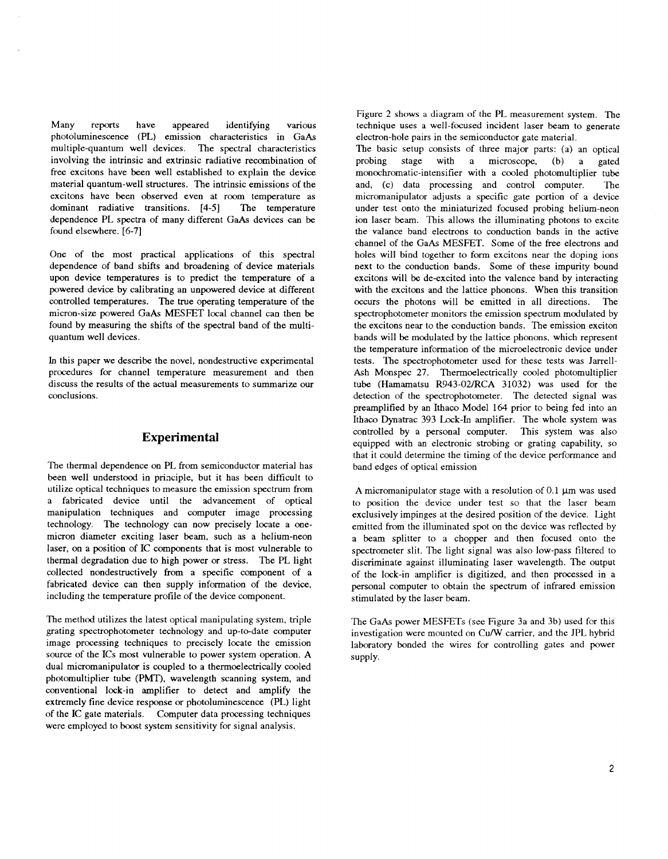Many reports have appeared identifying various photoluminescence (PL) emission characteristics in GaAs multiple-quantum well devices. The spectral characteristics involving the intrinsic and extrinsic radiative recombination of free excitons have been well established to explain the device material quantum-well structures. The intrinsic emissions of the excitons have been observed even at room temperature as dominant radiative transitions. **14-51** The temperature dependence PL spectra of many different GaAs devices can be found elsewhere. [6-71

One of the most practical applications of this spectral dependence of band shifts and broadening of device materials **upon** device temperatures is to predict the temperature of a powered device by calibrating an unpowered device at different controlled temperatures. The true operating temperature of the micron-size powered GaAs MESFET local channel can then be found by measuring the shifts of the spectral band of the multiquantum well devices.

In this paper we describe the novel, nondestructive experimental procedures for channel temperature measurement and then discuss the results of the actual measurements to summarize our conclusions.

# **Experimental**

The thermal dependence on PL from semiconductor material has been well understood in principle, but it has been difficult to utilize optical techniques to measure the emission spectrum from a fabricated device until the advancement of optical manipulation techniques and computer image processing technology. The technology can now precisely locate a onemicron diameter exciting laser beam, such as a helium-neon laser, on a position of IC components that is most vulnerable to thermal degradation due to high power or stress. The PL light collected nondestructively from a specific component of a fabricated device can then supply information of the device, including the temperature profile of the device component.

The method utilizes the latest optical manipulating system, triple grating spectrophotometer technology and up-to-date computer image processing techniques to precisely locate the emission source of the ICs most vulnerable to power system operation. **A**  dual micromanipulator is coupled to a thermoelectrically cooled photomultiplier tube (PMT), wavelength scanning system, and conventional lock-in amplifier to detect and amplify the extremely fine device response or photoluminescence (PL) light of the IC gate materials. Computer data processing techniques were employed to boost system sensitivity for signal analysis.

[Figure 2](#page-2-0) shows a diagram of the PL measurement system. The technique uses a well-focused incident laser beam to generate electron-hole pairs in the semiconductor gate material.

The basic setup consists of three major parts: (a) an optical probing stage with a microscope, (b) a gated monochromatic-intensifier with a cooled photomultiplier tube and, (c) data processing and control computer. The micromanipulator adjusts a specific gate portion of a device under test onto the miniaturized focused probing helium-neon ion laser beam. This allows the illuminating photons to excite the valance band electrons to conduction bands in the active channel of the GaAs MESFET. Some of the free electrons and holes will bind together to form excitons near the doping ions next to the conduction bands. Some of these impurity bound excitons will be de-excited into the valence band by interacting with the excitons and the lattice phonons. When this transition occurs the photons will be emitted in all directions. The spectrophotometer monitors the emission spectrum modulated by the excitons near to the conduction bands. The emission exciton bands will be modulated by the lattice phonons, which represent the temperature information of the microelectronic device under tests. The spectrophotometer used for these tests was Jarrell-Ash Monspec 27. Thermoelectrically cooled photomultiplier tube (Hamamatsu R943-02/RCA 31032) was used for the detection of the spectrophotometer. The detected signal was preamplified by an Ithaco Model 164 prior to being fed into an Ithaco Dynatrac 393 **Lock-In** amplifier. The whole system was controlled by a personal computer. This system was also equipped with an electronic strobing or grating capability, so that it could determine the timing of the device performance and band edges of optical emission

A micromanipulator stage with a resolution of  $0.1 \mu m$  was used to position the device under test so that the laser beam exclusively impinges at the desired position of the device. light emitted from the illuminated spot on the device was reflected by a beam splitter to a chopper and then focused onto the spectrometer slit. The light signal was also low-pass filtered to discriminate against illuminating laser wavelength. The output of the lock-in amplifier is digitized, and then processed in a personal computer to obtain the spectrum of infrared emission stimulated by the laser beam.

The GaAs power MESFETs (see Figure 3a and 3b) used for this investigation were mounted on Cu/W carrier, and the JPL hybrid laboratory bonded the wires for controlling gates and power supply.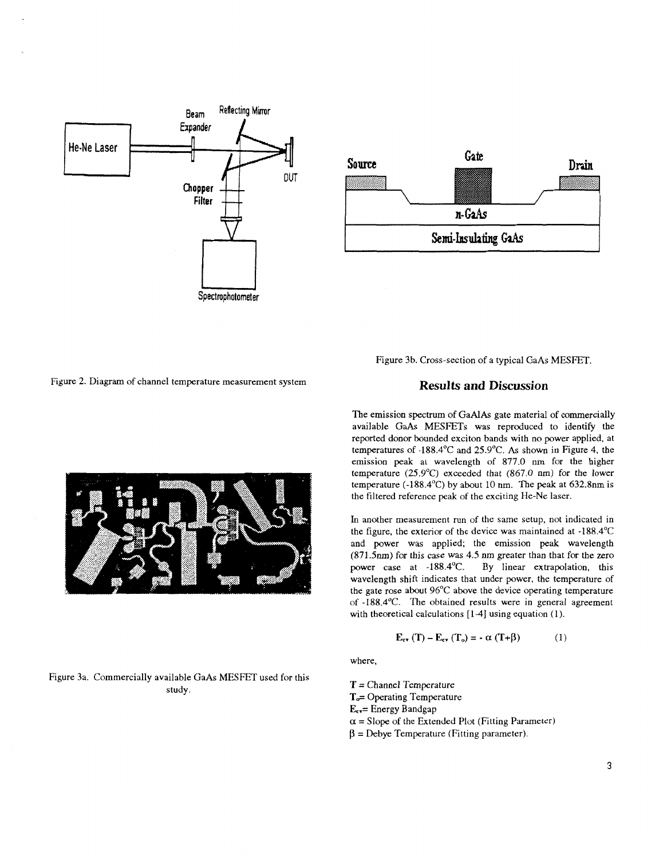<span id="page-2-0"></span>



Figure 2. Diagram of channel temperature measurement system **Results and Discussion** 

Figure 3a. Commercially available GaAs MESFET used for this study.  $T =$ Channel Temperature

Figure 3b. Cross-section of a typical **GaAs MESFET.** 

The emission spectrum of GaAlAs gate material of commercially available GaAs MESEETs was reproduced to identify the reported donor bounded exciton bands with no power applied, at temperatures of -188.4°C and 25.9°C. As shown in Figure 4, the emission peak at wavelength of 877.0 nm for the higher temperature (25.9°C) exceeded that (867.0 nm) for the lower temperature  $(-188.4^{\circ}C)$  by about 10 nm. The peak at 632.8nm is the filtered reference peak of the exciting He-Ne laser.

In another measurement run of the same setup, not indicated in the figure, the exterior of the device was maintained at -188.4°C and power was applied; the emission peak wavelength (871.5nm) for this case was 4.5 nm greater than that for the zero By linear extrapolation, this power case at -188.4°C. wavelength shift indicates that under power, the temperature of the gate rose about 96°C above the device operating temperature of -188.4"C. The obtained results were in general agreement with theoretical calculations [1-4] using equation (1).

$$
E_{\rm cv} (T) - E_{\rm cv} (T_0) = -\alpha (T + \beta)
$$
 (1)

where,

 $T<sub>o</sub> =$  Operating Temperature

 $E_{c}$ = Energy Bandgap

- $\alpha$  = Slope of the Extended Plot (Fitting Parameter)
- $\beta$  = Debye Temperature (Fitting parameter).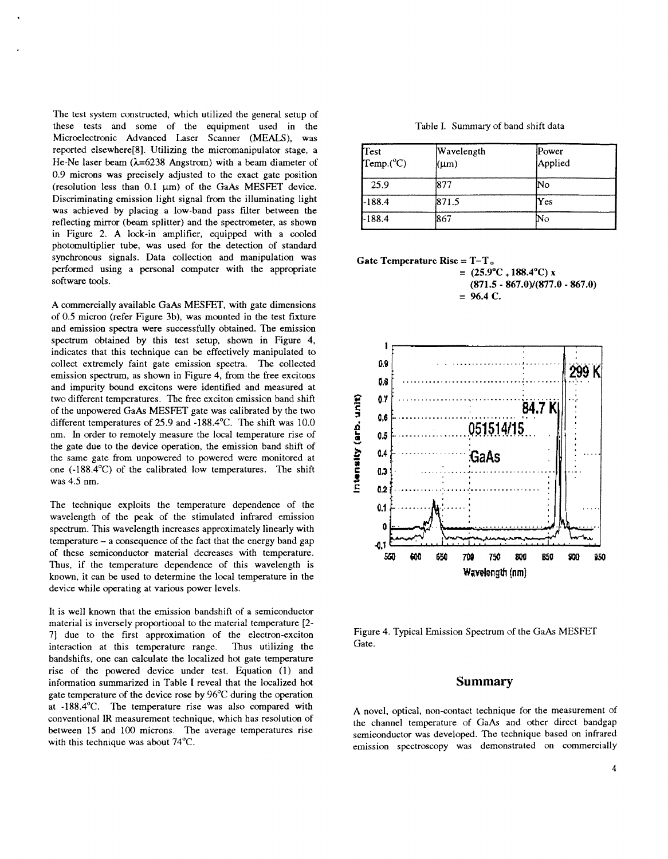The test system constructed, which utilized the general setup of these tests and some of the equipment used in the Microelectronic Advanced Laser Scanner (MEALS), was reported elsewhere[8]. Utilizing the micromanipulator stage, a He-Ne laser beam  $(\lambda=6238$  Angstrom) with a beam diameter of **0.9** microns was precisely adjusted to the exact gate position  $(resolution less than 0.1 µm) of the GaAs MESFFT device.$ Discriminating emission light signal from the illuminating light was achieved by placing a low-band pass filter between the reflecting mirror (beam splitter) and the spectrometer, as shown in [Figure](#page-2-0) **2.** A lock-in amplifier, equipped with a cooled photomultiplier tube, was used for the detection of standard synchronous signals. Data collection and manipulation was performed using a personal computer with the appropriate software tools.

A commercially available GaAs MESET, with gate dimensions of 0.5 micron (refer Figure 3b), was mounted in the test fixture and emission spectra were successfully obtained. The emission spectrum obtained by this test setup, shown in Figure 4, indicates that this technique can be effectively manipulated to collect extremely faint gate emission spectra. The collected emission spectrum, as shown in Figure 4, from the free excitons and impurity bound excitons were identified and measured at two different temperatures. The free exciton emission band shift of the unpowered GaAs MESFET gate was calibrated by the **two**  different temperatures of **25.9** and -188.4"C. The shift was 10.0 nm. In order to remotely measure the local temperature rise of the gate due to the device operation, the emission band shift of the same gate from unpowered to powered were monitored at one (-188.4"C) of the calibrated low temperatures. The shift was 4.5 nm.

The technique exploits the temperature dependence of the wavelength of the peak of the stimulated infrared emission spectrum. This wavelength increases approximately linearly with temperature - a consequence of the fact that the energy band **gap**  of these semiconductor material decreases with temperature. Thus, if the temperature dependence of this wavelength is known, it can be used to determine the local temperature in the device while operating at various power levels.

It is well known that the emission bandshift of a semiconductor material is inversely proportional to the material temperature **[2-**  71 due to the first approximation of the electron-exciton interaction at this temperature range. Thus utilizing the bandshifts, one can calculate the localized hot gate temperature rise of the powered device under test. Equation **(1)** and information summarized in Table **I** reveal that the localized hot gate temperature of the device rose by 96°C during the operation at -188.4"C. The temperature rise was also compared with conventional IR measurement technique, which has resolution of between **15** and 100 microns. The average temperatures rise with this technique was about 74°C.

Table **I.** Summary of band shift data

| Test<br>Temp.(°C) | Wavelength<br>$(\mu m)$ | Power<br>Applied |
|-------------------|-------------------------|------------------|
| 25.9              | 877                     | Νo               |
| $-188.4$          | 871.5                   | Yes              |
| $-188.4$          | 867                     | No               |

**Gate Temperature Rise** = **T-To**  = **(259°C** + **188.4"C) X**  <sup>=</sup>**96.4** *c.*  **(871.5** - **867.0)/(877.0** - **867.0)** 



Figure 4. Typical Emission Spectrum of the GaAs MESFET Gate.

### **Summary**

A novel, optical, non-contact technique for the measurement of the channel temperature of GaAs and other direct bandgap semiconductor was developed. The technique based on infrared emission spectroscopy was demonstrated on commercially